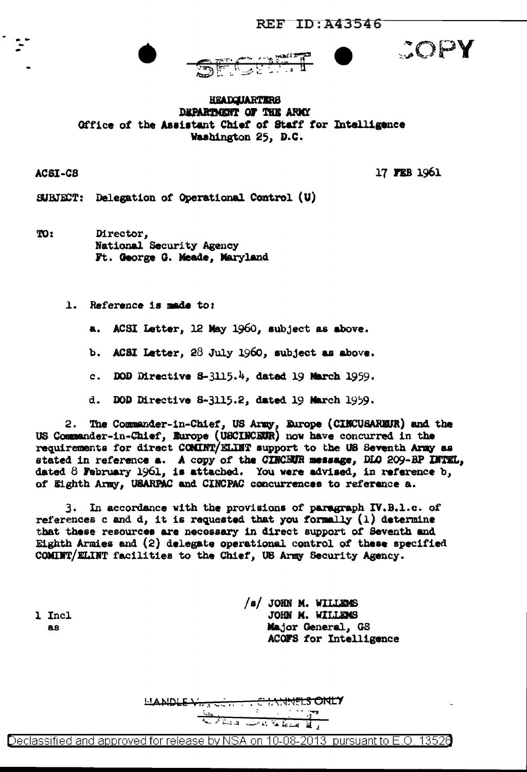



COPY

**HEADQUARTERS** DEPARTMENT OF THE ARMY Office of the Assistant Chief of Staff for Intelligence Washington 25, D.C.

ACSI-C8

17 FEB 1961

SUBJECT: Delegation of Operational Control (U)

TO: Director, National Security Agency Ft. George G. Meade, Maryland

1. Reference is made to:

ACSI Letter, 12 May 1960, subject as above. а.

b. ACSI Letter,  $28$  July 1960, subject as above.

c. DOD Directive  $3-3115.4$ , dated 19 March 1959.

d. DOD Directive 8-3115.2, dated 19 March 1959.

The Commander-in-Chief, US Army, Europe (CINCUSAREUR) and the 2. US Commander-in-Chief, Europe (USCINCEUR) now have concurred in the requirements for direct COMINT/ELINT support to the US Seventh Army as stated in reference a. A copy of the CINCEUR message, DLO 209-BP INTEL, dated  $8$  February 1961, is attached. You were advised, in reference  $b_j$ of Eighth Army, USARPAC and CINCPAC concurrences to reference a.

3. In accordance with the provisions of paragraph IV.B.1.c. of references c and d, it is requested that you formally  $(1)$  determine that these resources are necessary in direct support of Seventh and Eighth Armies and  $(2)$  delegate operational control of these specified COMINT/ELINT facilities to the Chief, US Army Security Agency.

1 Incl 88

/s/ JOHN M. WILLEMS JOHN M. WILLEMS Major General, GS ACOFS for Intelligence

LANDLE VI. **LS ONLY** للسنط لمعامله الديسة